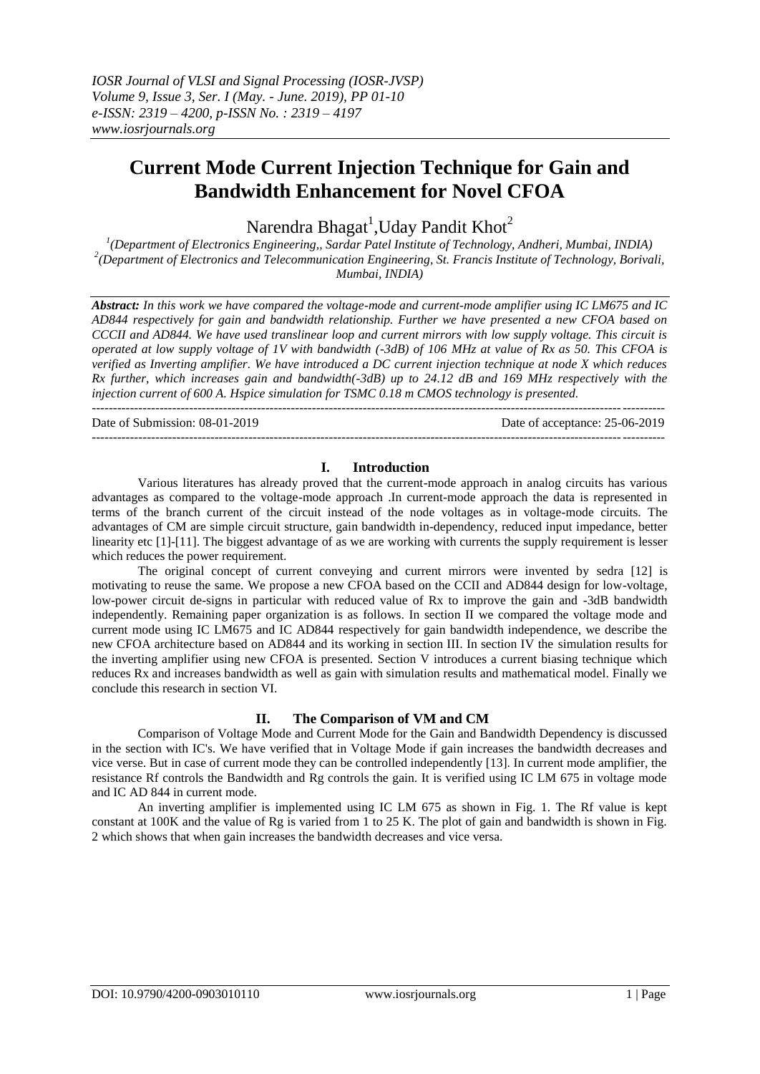# **Current Mode Current Injection Technique for Gain and Bandwidth Enhancement for Novel CFOA**

## Narendra Bhagat<sup>1</sup>, Uday Pandit Khot<sup>2</sup>

*1 (Department of Electronics Engineering,, Sardar Patel Institute of Technology, Andheri, Mumbai, INDIA) 2 (Department of Electronics and Telecommunication Engineering, St. Francis Institute of Technology, Borivali, Mumbai, INDIA)*

*Abstract: In this work we have compared the voltage-mode and current-mode amplifier using IC LM675 and IC AD844 respectively for gain and bandwidth relationship. Further we have presented a new CFOA based on CCCII and AD844. We have used translinear loop and current mirrors with low supply voltage. This circuit is operated at low supply voltage of 1V with bandwidth (-3dB) of 106 MHz at value of Rx as 50. This CFOA is verified as Inverting amplifier. We have introduced a DC current injection technique at node X which reduces Rx further, which increases gain and bandwidth(-3dB) up to 24.12 dB and 169 MHz respectively with the injection current of 600 A. Hspice simulation for TSMC 0.18 m CMOS technology is presented.* ---------------------------------------------------------------------------------------------------------------------------------------

Date of Submission: 08-01-2019 Date of acceptance: 25-06-2019

#### **I. Introduction**

---------------------------------------------------------------------------------------------------------------------------------------

Various literatures has already proved that the current-mode approach in analog circuits has various advantages as compared to the voltage-mode approach .In current-mode approach the data is represented in terms of the branch current of the circuit instead of the node voltages as in voltage-mode circuits. The advantages of CM are simple circuit structure, gain bandwidth in-dependency, reduced input impedance, better linearity etc [1]-[11]. The biggest advantage of as we are working with currents the supply requirement is lesser which reduces the power requirement.

The original concept of current conveying and current mirrors were invented by sedra [12] is motivating to reuse the same. We propose a new CFOA based on the CCII and AD844 design for low-voltage, low-power circuit de-signs in particular with reduced value of Rx to improve the gain and -3dB bandwidth independently. Remaining paper organization is as follows. In section II we compared the voltage mode and current mode using IC LM675 and IC AD844 respectively for gain bandwidth independence, we describe the new CFOA architecture based on AD844 and its working in section III. In section IV the simulation results for the inverting amplifier using new CFOA is presented. Section V introduces a current biasing technique which reduces Rx and increases bandwidth as well as gain with simulation results and mathematical model. Finally we conclude this research in section VI.

#### **II. The Comparison of VM and CM**

Comparison of Voltage Mode and Current Mode for the Gain and Bandwidth Dependency is discussed in the section with IC's. We have verified that in Voltage Mode if gain increases the bandwidth decreases and vice verse. But in case of current mode they can be controlled independently [13]. In current mode amplifier, the resistance Rf controls the Bandwidth and Rg controls the gain. It is verified using IC LM 675 in voltage mode and IC AD 844 in current mode.

An inverting amplifier is implemented using IC LM 675 as shown in Fig. 1. The Rf value is kept constant at 100K and the value of Rg is varied from 1 to 25 K. The plot of gain and bandwidth is shown in Fig. 2 which shows that when gain increases the bandwidth decreases and vice versa.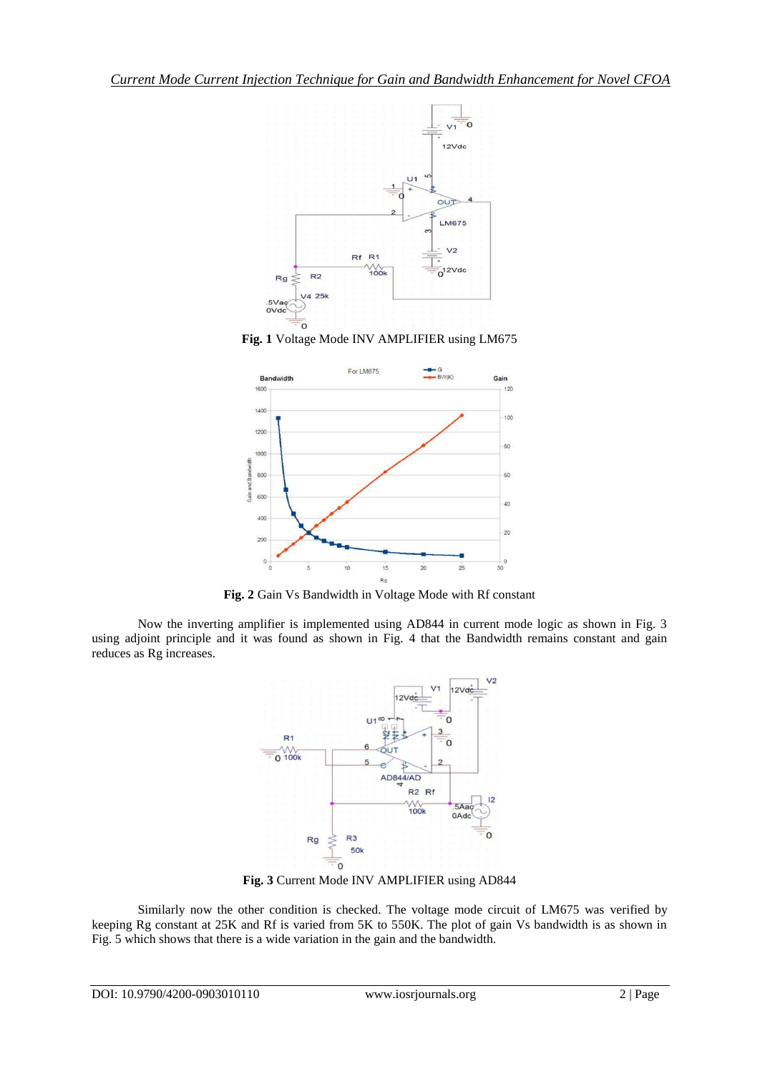





**Fig. 2** Gain Vs Bandwidth in Voltage Mode with Rf constant

Now the inverting amplifier is implemented using AD844 in current mode logic as shown in Fig. 3 using adjoint principle and it was found as shown in Fig. 4 that the Bandwidth remains constant and gain reduces as Rg increases.



**Fig. 3** Current Mode INV AMPLIFIER using AD844

Similarly now the other condition is checked. The voltage mode circuit of LM675 was verified by keeping Rg constant at 25K and Rf is varied from 5K to 550K. The plot of gain Vs bandwidth is as shown in Fig. 5 which shows that there is a wide variation in the gain and the bandwidth.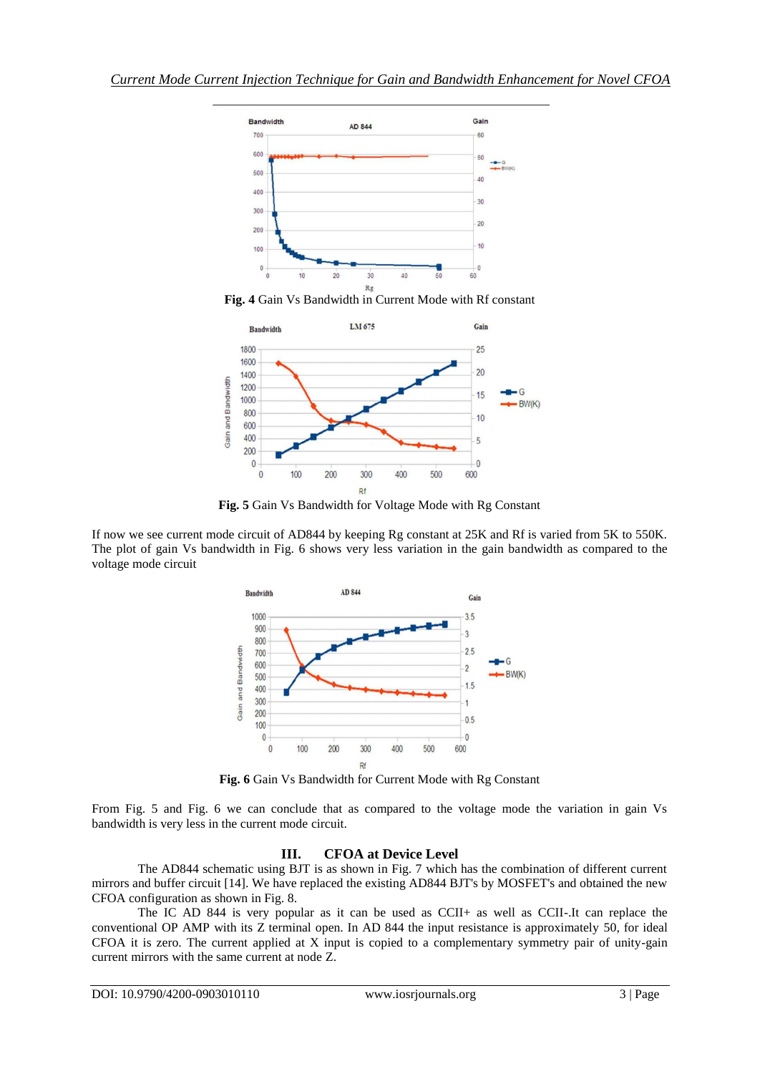![](_page_2_Figure_1.jpeg)

**Fig. 4** Gain Vs Bandwidth in Current Mode with Rf constant

![](_page_2_Figure_3.jpeg)

**Fig. 5** Gain Vs Bandwidth for Voltage Mode with Rg Constant

If now we see current mode circuit of AD844 by keeping Rg constant at 25K and Rf is varied from 5K to 550K. The plot of gain Vs bandwidth in Fig. 6 shows very less variation in the gain bandwidth as compared to the voltage mode circuit

![](_page_2_Figure_6.jpeg)

**Fig. 6** Gain Vs Bandwidth for Current Mode with Rg Constant

From Fig. 5 and Fig. 6 we can conclude that as compared to the voltage mode the variation in gain Vs bandwidth is very less in the current mode circuit.

### **III. CFOA at Device Level**

The AD844 schematic using BJT is as shown in Fig. 7 which has the combination of different current mirrors and buffer circuit [14]. We have replaced the existing AD844 BJT's by MOSFET's and obtained the new CFOA configuration as shown in Fig. 8.

The IC AD 844 is very popular as it can be used as CCII+ as well as CCII-.It can replace the conventional OP AMP with its Z terminal open. In AD 844 the input resistance is approximately 50, for ideal CFOA it is zero. The current applied at X input is copied to a complementary symmetry pair of unity-gain current mirrors with the same current at node Z.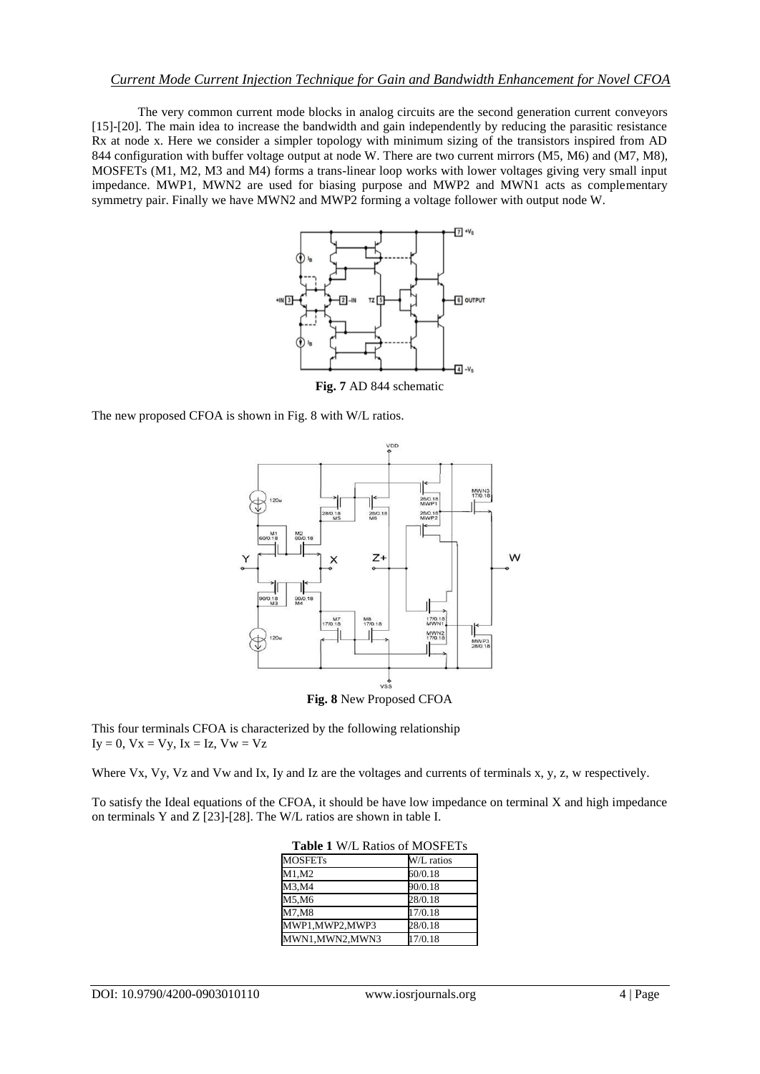#### *Current Mode Current Injection Technique for Gain and Bandwidth Enhancement for Novel CFOA*

The very common current mode blocks in analog circuits are the second generation current conveyors [15]-[20]. The main idea to increase the bandwidth and gain independently by reducing the parasitic resistance Rx at node x. Here we consider a simpler topology with minimum sizing of the transistors inspired from AD 844 configuration with buffer voltage output at node W. There are two current mirrors (M5, M6) and (M7, M8), MOSFETs (M1, M2, M3 and M4) forms a trans-linear loop works with lower voltages giving very small input impedance. MWP1, MWN2 are used for biasing purpose and MWP2 and MWN1 acts as complementary symmetry pair. Finally we have MWN2 and MWP2 forming a voltage follower with output node W.

![](_page_3_Figure_2.jpeg)

**Fig. 7** AD 844 schematic

The new proposed CFOA is shown in Fig. 8 with W/L ratios.

![](_page_3_Figure_5.jpeg)

**Fig. 8** New Proposed CFOA

This four terminals CFOA is characterized by the following relationship  $Iy = 0$ ,  $Vx = Vy$ ,  $Ix = Iz$ ,  $Vw = Vz$ 

Where Vx, Vy, Vz and Vw and Ix, Iy and Iz are the voltages and currents of terminals x, y, z, w respectively.

To satisfy the Ideal equations of the CFOA, it should be have low impedance on terminal X and high impedance on terminals Y and Z [23]-[28]. The W/L ratios are shown in table I.

| <b>TADIC 1</b> W/L NATIOS OF MOST LTS |            |  |
|---------------------------------------|------------|--|
| <b>MOSFETs</b>                        | W/L ratios |  |
| M1, M2                                | 60/0.18    |  |
| M3,M4                                 | 90/0.18    |  |
| M5,M6                                 | 28/0.18    |  |
| M7, M8                                | 17/0.18    |  |
| MWP1,MWP2,MWP3                        | 28/0.18    |  |
| MWN1,MWN2,MWN3                        | 17/0.18    |  |

| <b>Table 1 W/L Ratios of MOSFETs</b> |  |  |  |  |
|--------------------------------------|--|--|--|--|
|--------------------------------------|--|--|--|--|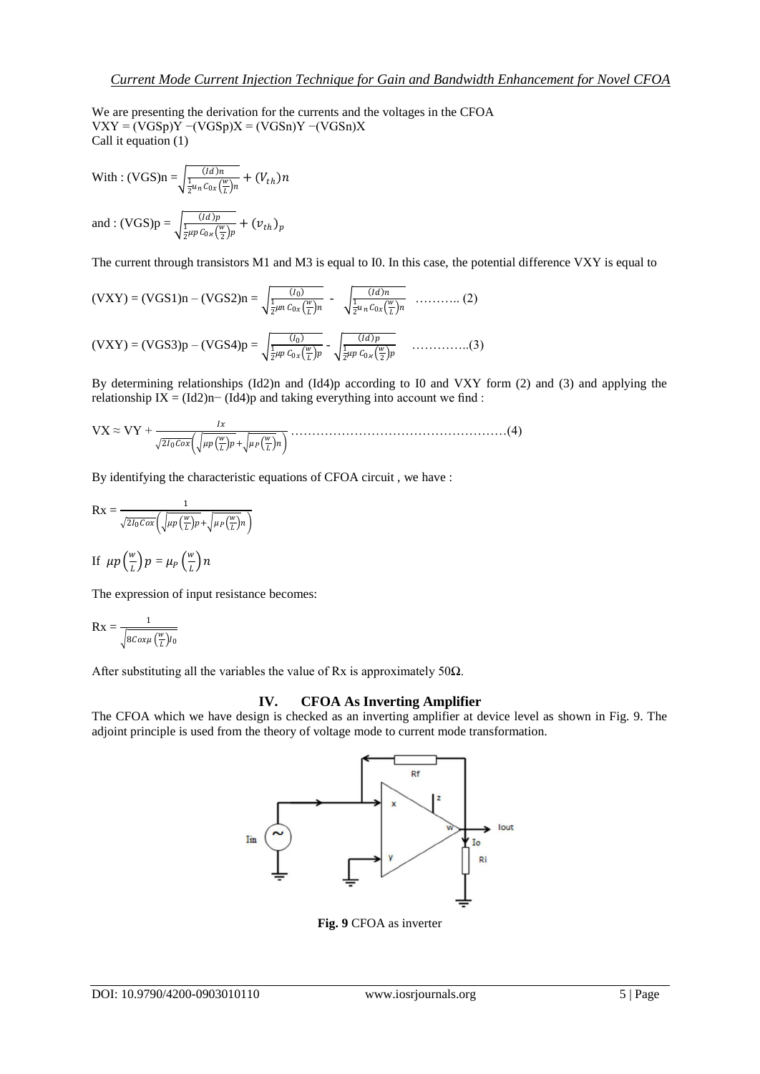We are presenting the derivation for the currents and the voltages in the CFOA  $VXY = (VGSp)Y - (VGSp)X = (VGSn)Y - (VGSn)X$ Call it equation (1)

With :  $(VGS)n = \sqrt{\frac{(Id)n}{\frac{1}{2}u_n C_{0x}(\frac{w}{L})n} + (V_{th})n}$ and :  $(VGS)p = \sqrt{\frac{(Id)p}{\frac{1}{2}\mu p C_{0x}(\frac{w}{2})p} + (v_{th})_p}$ 

The current through transistors M1 and M3 is equal to I0. In this case, the potential difference VXY is equal to

$$
(\text{VXY}) = (\text{VGS1})\mathbf{n} - (\text{VGS2})\mathbf{n} = \sqrt{\frac{(I_0)}{\frac{1}{2}\mu n \, C_{0x} \left(\frac{w}{L}\right)n}} - \sqrt{\frac{(Id)n}{\frac{1}{2}u_n \, C_{0x} \left(\frac{w}{L}\right)n}} \quad \dots \dots \dots \dots \tag{2}
$$
\n
$$
(\text{VXY}) = (\text{VGS3})\mathbf{p} - (\text{VGS4})\mathbf{p} = \sqrt{\frac{(I_0)}{\frac{1}{2}\mu p \, C_{0x} \left(\frac{w}{L}\right)p}} - \sqrt{\frac{(Id)p}{\frac{1}{2}\mu p \, C_{0x} \left(\frac{w}{L}\right)p}} \quad \dots \dots \dots \dots \dots \tag{3}
$$

By determining relationships (Id2)n and (Id4)p according to I0 and VXY form (2) and (3) and applying the relationship IX =  $(\text{Id}2)n-(\text{Id}4)p$  and taking everything into account we find :

VX ≈ VY + 20 + ……………………………………………(4)

By identifying the characteristic equations of CFOA circuit , we have :

$$
Rx = \frac{1}{\sqrt{2I_0Cox}\left(\sqrt{\mu p\left(\frac{w}{L}\right)p} + \sqrt{\mu p\left(\frac{w}{L}\right)n}\right)}
$$

If 
$$
\mu p\left(\frac{w}{L}\right)p = \mu_P\left(\frac{w}{L}\right)n
$$

The expression of input resistance becomes:

$$
Rx = \frac{1}{\sqrt{8C \alpha \mu \left(\frac{w}{L}\right)I_0}}
$$

After substituting all the variables the value of Rx is approximately 50 $\Omega$ .

#### **IV. CFOA As Inverting Amplifier**

The CFOA which we have design is checked as an inverting amplifier at device level as shown in Fig. 9. The adjoint principle is used from the theory of voltage mode to current mode transformation.

![](_page_4_Figure_15.jpeg)

**Fig. 9** CFOA as inverter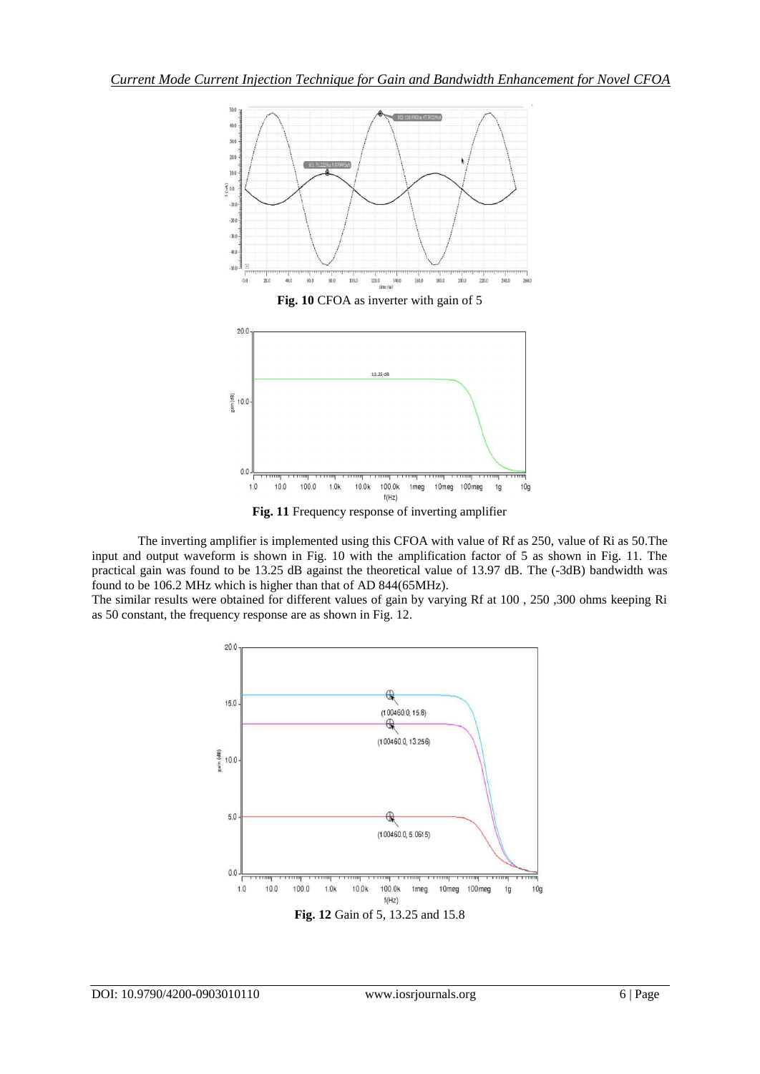![](_page_5_Figure_1.jpeg)

**Fig. 11** Frequency response of inverting amplifier

The inverting amplifier is implemented using this CFOA with value of Rf as 250, value of Ri as 50.The input and output waveform is shown in Fig. 10 with the amplification factor of 5 as shown in Fig. 11. The practical gain was found to be 13.25 dB against the theoretical value of 13.97 dB. The (-3dB) bandwidth was found to be 106.2 MHz which is higher than that of AD 844(65MHz).

The similar results were obtained for different values of gain by varying Rf at 100 , 250 ,300 ohms keeping Ri as 50 constant, the frequency response are as shown in Fig. 12.

![](_page_5_Figure_5.jpeg)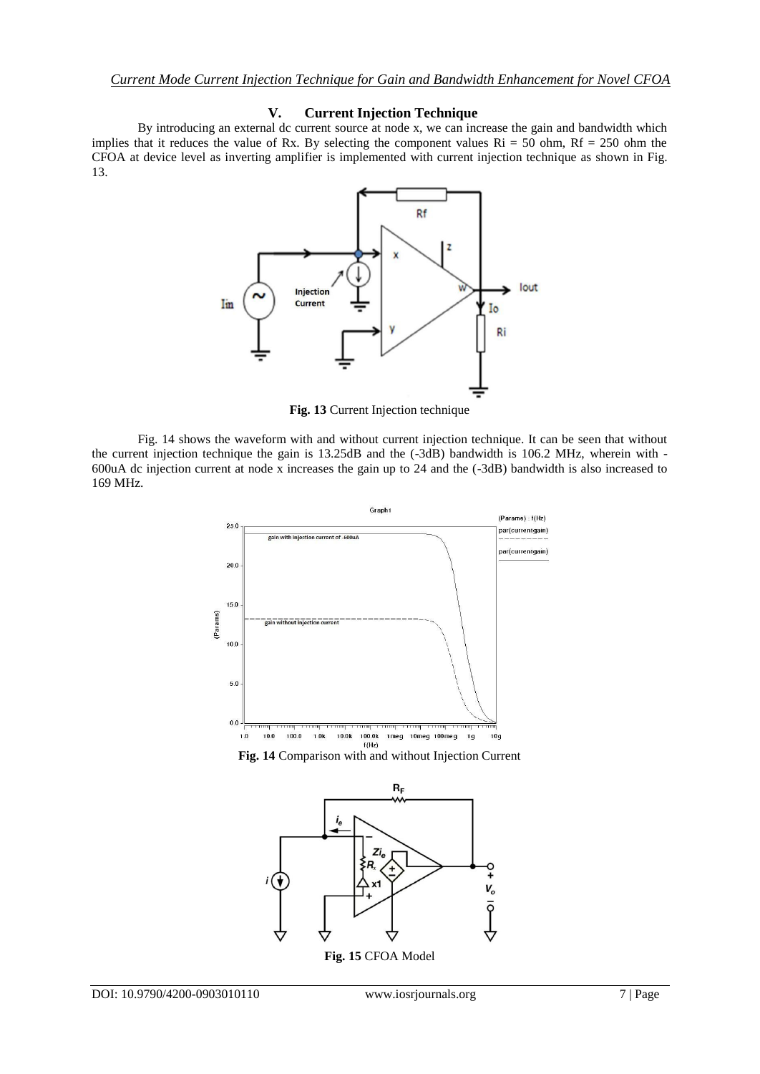#### **V. Current Injection Technique**

By introducing an external dc current source at node x, we can increase the gain and bandwidth which implies that it reduces the value of Rx. By selecting the component values  $\text{Ri} = 50$  ohm,  $\text{Rf} = 250$  ohm the CFOA at device level as inverting amplifier is implemented with current injection technique as shown in Fig. 13.

![](_page_6_Figure_3.jpeg)

**Fig. 13** Current Injection technique

Fig. 14 shows the waveform with and without current injection technique. It can be seen that without the current injection technique the gain is 13.25dB and the (-3dB) bandwidth is 106.2 MHz, wherein with - 600uA dc injection current at node x increases the gain up to 24 and the (-3dB) bandwidth is also increased to 169 MHz.

![](_page_6_Figure_6.jpeg)

![](_page_6_Figure_7.jpeg)

![](_page_6_Figure_8.jpeg)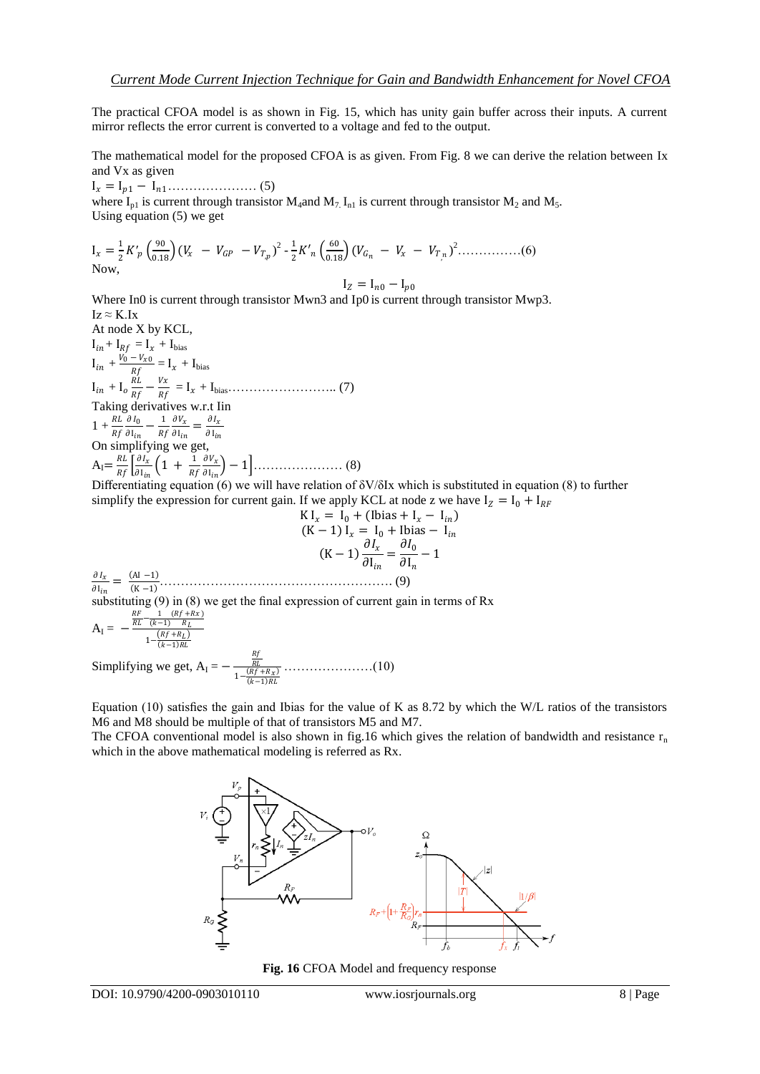The practical CFOA model is as shown in Fig. 15, which has unity gain buffer across their inputs. A current mirror reflects the error current is converted to a voltage and fed to the output.

The mathematical model for the proposed CFOA is as given. From Fig. 8 we can derive the relation between Ix and Vx as given

I = I<sup>1</sup> − I1………………… (5)

where  $I_{p1}$  is current through transistor  $M_4$  and  $M_7$ ,  $I_{n1}$  is current through transistor  $M_2$  and  $M_5$ . Using equation (5) we get

$$
I_x = \frac{1}{2} K'_p \left(\frac{90}{0.18}\right) (V_x - V_{GP} - V_{T_p})^2 - \frac{1}{2} K'_n \left(\frac{60}{0.18}\right) (V_{G_n} - V_x - V_{T_n})^2 \dots \dots \dots \dots (6)
$$
  
Now,

 $I_Z = I_{n0} - I_{p0}$ 

Where In0 is current through transistor Mwn3 and Ip0 is current through transistor Mwp3.  $Iz \approx K.Ix$ 

At node X by KCL,  $I_{in} + I_{Rf} = I_x + I_{bias}$  $I_{in} + \frac{V_0 - V_{x0}}{Bf}$  $\frac{-v_{x0}}{Rf} = I_x + I_{bias}$  $I_{in} + I_o \frac{RL}{Rf}$  $\frac{RL}{Rf} - \frac{Vx}{Rf}$  = I + Ibias…………………….. (7) Taking derivatives w.r.t Iin  $1 + \frac{RL}{Rf}$  $\partial I_0$  $\frac{\partial I_0}{\partial I_{in}} - \frac{1}{R_j}$ Rf  $\partial V_x$  $\frac{\partial V_x}{\partial \mathbf{I}_{in}} = \frac{\partial I_x}{\partial \mathbf{I}_{in}}$  $\partial$  I<sub>in</sub> On simplifying we get,  $A_{I}=\frac{RL}{p_{f}}$  $rac{RL}{Rf} \left[ \frac{\partial I_x}{\partial 1_{ir}} \right]$  $\frac{\partial I_x}{\partial \mathbf{I}_{in}} \Big( 1 + \frac{1}{R_j} \Big)$ Rf  $\partial V_{\chi}$ I −1 ………………… (8)

Differentiating equation (6) we will have relation of  $\delta V/\delta Ix$  which is substituted in equation (8) to further simplify the expression for current gain. If we apply KCL at node z we have  $I_z = I_0 + I_{RF}$ 

$$
K I_x = I_0 + (I \text{bias} + I_x - I_{in})
$$
  
\n
$$
(K-1) I_x = I_0 + I \text{bias} - I_{in}
$$
  
\n
$$
(K-1) \frac{\partial I_x}{\partial I_{in}} = \frac{\partial I_0}{\partial I_n} - 1
$$
  
\n
$$
= \frac{(A I - 1)}{(K-1)}
$$
 (9)

 $\overline{\partial} I_{in}$ substituting (9) in (8) we get the final expression of current gain in terms of Rx  $\frac{RF}{PL} - \frac{1}{(h+1)} \frac{(Rf+Rx)}{P}$ RL  $(k-1)$ 

$$
A_{I} = -\frac{RL \quad (k-1) \quad R_{L}}{1 - \frac{(Rf + R_{L})}{(k-1)RL}}
$$

 $\partial\,I_x$ 

Simplifying we get,  $A_I = -$ Rf<br>RL  $1 - \frac{(Rf + R_X)}{(k-1)RL}$ …………………(10)

Equation (10) satisfies the gain and Ibias for the value of K as  $8.72$  by which the W/L ratios of the transistors M6 and M8 should be multiple of that of transistors M5 and M7.

The CFOA conventional model is also shown in fig.16 which gives the relation of bandwidth and resistance  $r_n$ which in the above mathematical modeling is referred as Rx.

![](_page_7_Figure_16.jpeg)

**Fig. 16** CFOA Model and frequency response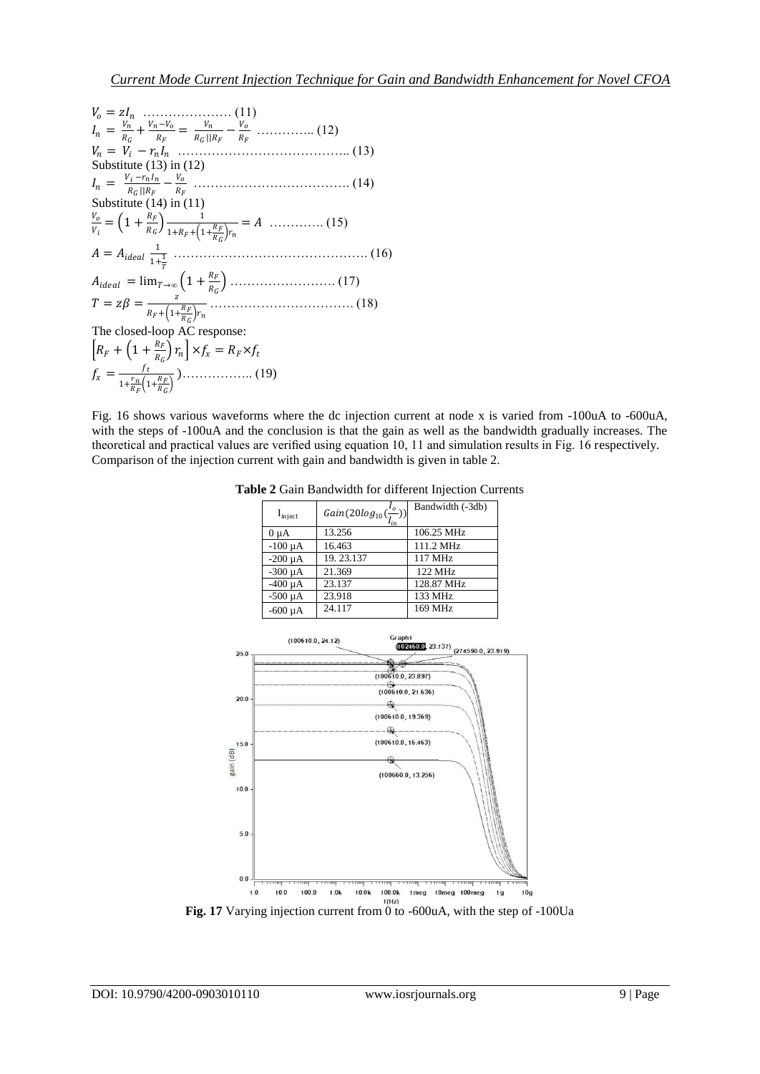$$
V_o = zI_n
$$
  
\n
$$
I_n = \frac{V_n}{R_G} + \frac{V_n - V_o}{R_F} = \frac{V_n}{R_G || R_F} - \frac{V_o}{R_F}
$$
................. (12)  
\n
$$
V_n = V_i - r_n I_n
$$
................. (13)  
\nSubstitute (13) in (12)  
\n
$$
I_n = \frac{V_i - r_n I_n}{R_G || R_F} - \frac{V_o}{R_F}
$$
................. (14)  
\nSubstitute (14) in (11)  
\n
$$
\frac{V_o}{V_i} = \left(1 + \frac{R_F}{R_G}\right) \frac{1}{1 + R_F + \left(1 + \frac{R_F}{R_G}\right) r_n} = A
$$
................. (15)  
\n
$$
A = A_{ideal} \frac{1}{1 + \frac{1}{T}}
$$
................. (16)  
\n
$$
A_{ideal} = \lim_{T \to \infty} \left(1 + \frac{R_F}{R_G}\right)
$$
................. (17)  
\n
$$
T = z\beta = \frac{z}{R_F + \left(1 + \frac{R_F}{R_G}\right) r_n}
$$
................. (18)  
\nThe closed-loop AC response:  
\n
$$
\left[R_F + \left(1 + \frac{R_F}{R_G}\right) r_n\right] \times f_x = R_F \times f_t
$$
  
\n
$$
f_x = \frac{f_t}{1 + \frac{r_n}{R_F} \left(1 + \frac{R_F}{R_G}\right)}
$$
................. (19)

Fig. 16 shows various waveforms where the dc injection current at node x is varied from -100uA to -600uA, with the steps of -100uA and the conclusion is that the gain as well as the bandwidth gradually increases. The theoretical and practical values are verified using equation 10, 11 and simulation results in Fig. 16 respectively. Comparison of the injection current with gain and bandwidth is given in table 2.

| $I_{\text{inject}}$ | $Gain(20log_{10}(\frac{t_o}{I_{in}}))$ | Bandwidth (-3db) |
|---------------------|----------------------------------------|------------------|
| $0 \mu A$           | 13.256                                 | 106.25 MHz       |
| $-100 \mu A$        | 16.463                                 | 111.2 MHz        |
| $-200 \mu A$        | 19.23.137                              | 117 MHz          |
| $-300 \mu A$        | 21.369                                 | 122 MHz          |
| $-400 \mu A$        | 23.137                                 | 128.87 MHz       |
| $-500 \mu A$        | 23.918                                 | 133 MHz          |
| $-600 \mu A$        | 24.117                                 | 169 MHz          |

**Table 2** Gain Bandwidth for different Injection Currents

![](_page_8_Figure_5.jpeg)

**Fig. 17** Varying injection current from 0 to -600uA, with the step of -100Ua